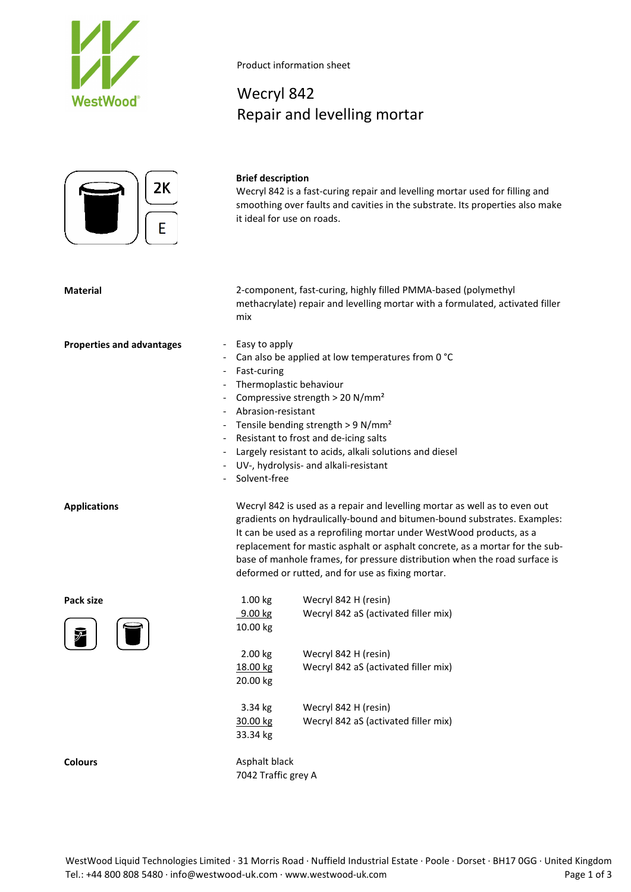

# 2K

#### **Brief description**

Wecryl 842

Product information sheet

Repair and levelling mortar

Wecryl 842 is a fast-curing repair and levelling mortar used for filling and smoothing over faults and cavities in the substrate. Its properties also make it ideal for use on roads.

**Material** 2-component, fast-curing, highly filled PMMA-based (polymethyl methacrylate) repair and levelling mortar with a formulated, activated filler mix

- **Properties and advantages** Easy to apply
	- Can also be applied at low temperatures from 0 °C
	- Fast-curing
	- Thermoplastic behaviour
	- Compressive strength  $> 20$  N/mm<sup>2</sup>
	- Abrasion-resistant
	- Tensile bending strength > 9 N/mm²
	- Resistant to frost and de-icing salts
	- Largely resistant to acids, alkali solutions and diesel
	- UV-, hydrolysis- and alkali-resistant
	- Solvent-free

**Applications** Wecryl 842 is used as a repair and levelling mortar as well as to even out gradients on hydraulically-bound and bitumen-bound substrates. Examples: It can be used as a reprofiling mortar under WestWood products, as a replacement for mastic asphalt or asphalt concrete, as a mortar for the subbase of manhole frames, for pressure distribution when the road surface is deformed or rutted, and for use as fixing mortar.

Pack size **Pack size 1.00 kg** Wecryl 842 H (resin) 9.00 kg Wecryl 842 aS (activated filler mix) 10.00 kg 2.00 kg 18.00 kg 20.00 kg Wecryl 842 H (resin) Wecryl 842 aS (activated filler mix) 3.34 kg Wecryl 842 H (resin) 30.00 kg Wecryl 842 aS (activated filler mix) 33.34 kg **Colours** Asphalt black

7042 Traffic grey A

WestWood Liquid Technologies Limited · 31 Morris Road · Nuffield Industrial Estate · Poole · Dorset · BH17 0GG · United Kingdom Tel.: +44 800 808 5480 · info@westwood-uk.com · www.westwood-uk.com example are research to the Page 1 of 3



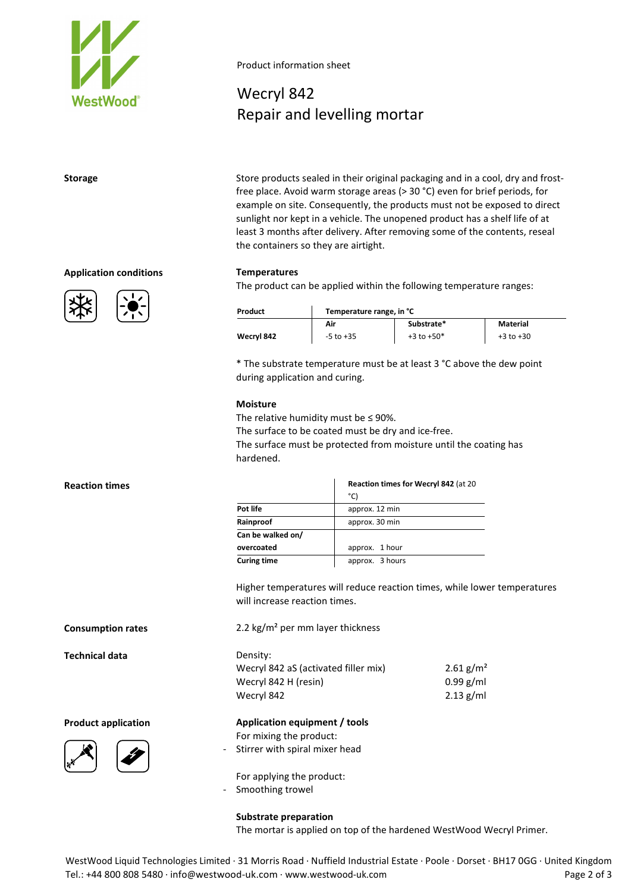

**Application conditions Temperatures**





Product information sheet

# Wecryl 842 Repair and levelling mortar

**Storage** Store products sealed in their original packaging and in a cool, dry and frostfree place. Avoid warm storage areas (> 30 °C) even for brief periods, for example on site. Consequently, the products must not be exposed to direct sunlight nor kept in a vehicle. The unopened product has a shelf life of at least 3 months after delivery. After removing some of the contents, reseal the containers so they are airtight.

The product can be applied within the following temperature ranges:

| Product    | Temperature range, in °C |                |               |
|------------|--------------------------|----------------|---------------|
|            | Air                      | Substrate*     | Material      |
| Wecryl 842 | $-5$ to $+35$            | $+3$ to $+50*$ | $+3$ to $+30$ |

\* The substrate temperature must be at least 3 °C above the dew point during application and curing.

#### **Moisture**

The relative humidity must be  $\leq$  90%. The surface to be coated must be dry and ice-free. The surface must be protected from moisture until the coating has hardened.

|                    | Reaction times for Wecryl 842 (at 20<br>°C) |
|--------------------|---------------------------------------------|
| Pot life           | approx. 12 min                              |
| Rainproof          | approx. 30 min                              |
| Can be walked on/  |                                             |
| overcoated         | approx. 1 hour                              |
| <b>Curing time</b> | approx. 3 hours                             |

Higher temperatures will reduce reaction times, while lower temperatures will increase reaction times.

Wecryl 842 aS (activated filler mix) Wecryl 842 H (resin) Wecryl 842  $2.61$  g/m<sup>2</sup> 0.99 g/ml 2.13 g/ml

**Product application Application equipment / tools**

For mixing the product: - Stirrer with spiral mixer head

For applying the product:

- Smoothing trowel

**Substrate preparation** The mortar is applied on top of the hardened WestWood Wecryl Primer.

WestWood Liquid Technologies Limited · 31 Morris Road · Nuffield Industrial Estate · Poole · Dorset · BH17 0GG · United Kingdom Tel.: +44 800 808 5480 · info@westwood-uk.com · www.westwood-uk.com example are example as a Page 2 of 3

#### **Reaction times**

**Consumption rates** 2.2 kg/m² per mm layer thickness

**Technical data** Density: